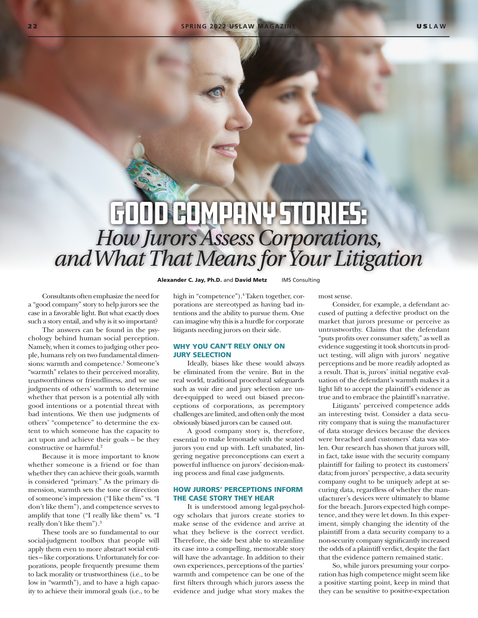# Good Company Stories: *How Jurors Assess Corporations, and What That Means for Your Litigation*

Consultants often emphasize the need for <sup>a</sup>"good company" story to help jurors see the case in a favorable light. But what exactly does such a story entail, and why is it so important?

The answers can be found in the psychology behind human social perception. Namely, when it comes to judging other people, humans rely on two fundamental dimensions: warmth and competence.<sup>1</sup> Someone's "warmth" relates to their perceived morality, trustworthiness or friendliness, and we use judgments of others' warmth to determine whether that person is a potential ally with good intentions or a potential threat with bad intentions. We then use judgments of others' "competence" to determine the extent to which someone has the capacity to act upon and achieve their goals – be they constructive or harmful.<sup>2</sup>

Because it is more important to know whether someone is a friend or foe than whether they can achieve their goals, warmth is considered "primary." As the primary dimension, warmth sets the tone or direction of someone's impression ("I like them" vs. "I don't like them"), and competence serves to amplify that tone ("I really like them" vs. "I really don't like them").<sup>3</sup>

These tools are so fundamental to our social-judgment toolbox that people will apply them even to more abstract social entities – like corporations. Unfortunately for corporations, people frequently presume them to lack morality or trustworthiness (i.e., to be low in "warmth"), and to have a high capacity to achieve their immoral goals (i.e., to be

high in "competence").<sup>4</sup> Taken together, corporations are stereotyped as having bad intentions and the ability to pursue them. One can imagine why this is a hurdle for corporate litigants needing jurors on their side.

Alexander C. Jay, Ph.D. and David Metz **IMS Consulting** 

## WHY YOU CAN'T RELY ONLY ON JURY SELECTION

Ideally, biases like these would always be eliminated from the venire. But in the real world, traditional procedural safeguards such as voir dire and jury selection are under-equipped to weed out biased preconceptions of corporations, as peremptory challenges are limited, and often only the most obviously biased jurors can be caused out.

A good company story is, therefore, essential to make lemonade with the seated jurors you end up with. Left unabated, lingering negative preconceptions can exert a powerful influence on jurors' decision-making process and final case judgments.

### HOW JURORS' PERCEPTIONS INFORM THE CASE STORY THEY HEAR

It is understood among legal-psychology scholars that jurors create stories to make sense of the evidence and arrive at what they believe is the correct verdict. Therefore, the side best able to streamline its case into a compelling, memorable story will have the advantage. In addition to their own experiences, perceptions of the parties' warmth and competence can be one of the first filters through which jurors assess the evidence and judge what story makes the most sense.

Consider, for example, a defendant accused of putting a defective product on the market that jurors presume or perceive as untrustworthy. Claims that the defendant "puts profits over consumer safety," as well as evidence suggesting it took shortcuts in product testing, will align with jurors' negative perceptions and be more readily adopted as a result. That is, jurors' initial negative evaluation of the defendant's warmth makes it a light lift to accept the plaintiff's evidence as true and to embrace the plaintiff's narrative.

Litigants' perceived competence adds an interesting twist. Consider a data security company that is suing the manufacturer of data storage devices because the devices were breached and customers' data was stolen. Our research has shown that jurors will, in fact, take issue with the security company plaintiff for failing to protect its customers' data; from jurors' perspective, a data security company ought to be uniquely adept at securing data, regardless of whether the manufacturer's devices were ultimately to blame for the breach. Jurors expected high competence, and they were let down. In this experiment, simply changing the identity of the plaintiff from a data security company to a non-security company significantly increased the odds of a plaintiff verdict, despite the fact that the evidence pattern remained static.

So, while jurors presuming your corporation has high competence might seem like a positive starting point, keep in mind that they can be sensitive to positive-expectation